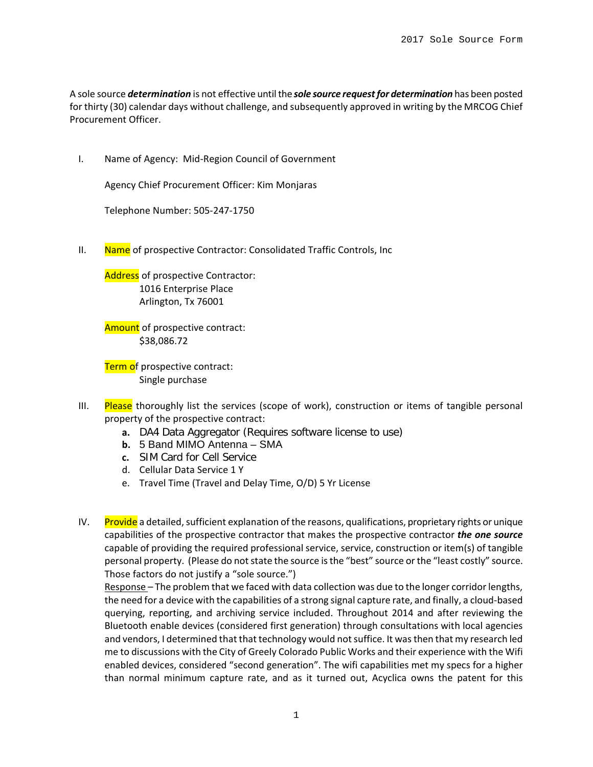A sole source *determination* is not effective until the *sole source request for determination* has been posted for thirty (30) calendar days without challenge, and subsequently approved in writing by the MRCOG Chief Procurement Officer.

I. Name of Agency: Mid-Region Council of Government

Agency Chief Procurement Officer: Kim Monjaras

Telephone Number: 505-247-1750

II. Name of prospective Contractor: Consolidated Traffic Controls, Inc

Address of prospective Contractor: 1016 Enterprise Place Arlington, Tx 76001

Amount of prospective contract: \$38,086.72

Term of prospective contract: Single purchase

- III. Please thoroughly list the services (scope of work), construction or items of tangible personal property of the prospective contract:
	- **a.** DA4 Data Aggregator (Requires software license to use)
	- **b.** 5 Band MIMO Antenna SMA
	- **c.** SIM Card for Cell Service
	- d. Cellular Data Service 1 Y
	- e. Travel Time (Travel and Delay Time, O/D) 5 Yr License
- IV. Provide a detailed, sufficient explanation of the reasons, qualifications, proprietary rights or unique capabilities of the prospective contractor that makes the prospective contractor *the one source* capable of providing the required professional service, service, construction or item(s) of tangible personal property. (Please do not state the source is the "best" source or the "least costly" source. Those factors do not justify a "sole source.")

Response – The problem that we faced with data collection was due to the longer corridor lengths, the need for a device with the capabilities of a strong signal capture rate, and finally, a cloud-based querying, reporting, and archiving service included. Throughout 2014 and after reviewing the Bluetooth enable devices (considered first generation) through consultations with local agencies and vendors, I determined that that technology would not suffice. It was then that my research led me to discussions with the City of Greely Colorado Public Works and their experience with the Wifi enabled devices, considered "second generation". The wifi capabilities met my specs for a higher than normal minimum capture rate, and as it turned out, Acyclica owns the patent for this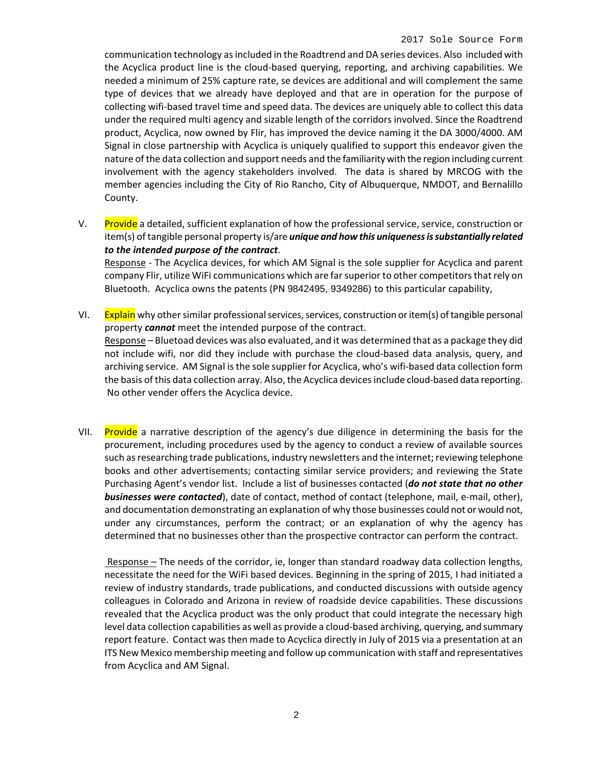communication technology as included in the Roadtrend and DA series devices. Also included with the Acyclica product line is the cloud-based querying, reporting, and archiving capabilities. We needed a minimum of 25% capture rate, se devices are additional and will complement the same type of devices that we already have deployed and that are in operation for the purpose of collecting wifi-based travel time and speed data. The devices are uniquely able to collect this data under the required multi agency and sizable length of the corridors involved. Since the Roadtrend product, Acyclica, now owned by Flir, has improved the device naming it the DA 3000/4000. AM Signal in close partnership with Acyclica is uniquely qualified to support this endeavor given the nature of the data collection and support needs and the familiarity with the region including current involvement with the agency stakeholders involved. The data is shared by MRCOG with the member agencies including the City of Rio Rancho, City of Albuquerque, NMDOT, and Bernalillo County.

V. Provide a detailed, sufficient explanation of how the professional service, service, construction or item(s) of tangible personal property is/are *unique and how this uniqueness is substantially related to the intended purpose of the contract*.

Response - The Acyclica devices, for which AM Signal is the sole supplier for Acyclica and parent company Flir, utilize WiFi communications which are far superior to other competitorsthat rely on Bluetooth. Acyclica owns the patents (PN 9842495, 9349286) to this particular capability,

- VI. Explain why other similar professional services, services, construction or item(s) of tangible personal property *cannot* meet the intended purpose of the contract. Response – Bluetoad devices was also evaluated, and it was determined that as a package they did not include wifi, nor did they include with purchase the cloud-based data analysis, query, and archiving service. AM Signal is the sole supplier for Acyclica, who's wifi-based data collection form the basis of this data collection array. Also, the Acyclica devices include cloud-based data reporting. No other vender offers the Acyclica device.
- VII. Provide a narrative description of the agency's due diligence in determining the basis for the procurement, including procedures used by the agency to conduct a review of available sources such as researching trade publications, industry newsletters and the internet; reviewing telephone books and other advertisements; contacting similar service providers; and reviewing the State Purchasing Agent's vendor list. Include a list of businesses contacted (*do not state that no other businesses were contacted*), date of contact, method of contact (telephone, mail, e-mail, other), and documentation demonstrating an explanation of why those businesses could not or would not, under any circumstances, perform the contract; or an explanation of why the agency has determined that no businesses other than the prospective contractor can perform the contract.

Response – The needs of the corridor, ie, longer than standard roadway data collection lengths, necessitate the need for the WiFi based devices. Beginning in the spring of 2015, I had initiated a review of industry standards, trade publications, and conducted discussions with outside agency colleagues in Colorado and Arizona in review of roadside device capabilities. These discussions revealed that the Acyclica product was the only product that could integrate the necessary high level data collection capabilities as well as provide a cloud-based archiving, querying, and summary report feature. Contact was then made to Acyclica directly in July of 2015 via a presentation at an ITS New Mexico membership meeting and follow up communication with staff and representatives from Acyclica and AM Signal.